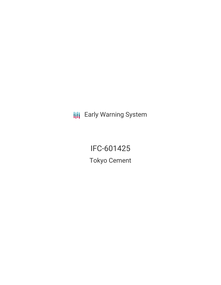**III** Early Warning System

IFC-601425 Tokyo Cement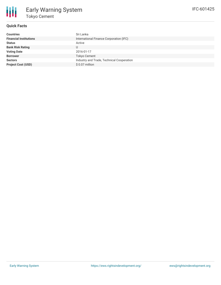

## **Quick Facts**

| Countries                     | Sri Lanka                                 |
|-------------------------------|-------------------------------------------|
| <b>Financial Institutions</b> | International Finance Corporation (IFC)   |
| Status                        | Active                                    |
| <b>Bank Risk Rating</b>       |                                           |
| <b>Voting Date</b>            | 2016-01-17                                |
| <b>Borrower</b>               | <b>Tokyo Cement</b>                       |
| Sectors                       | Industry and Trade, Technical Cooperation |
| <b>Project Cost (USD)</b>     | \$ 0.07 million                           |
|                               |                                           |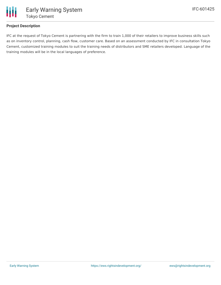

## **Project Description**

IFC at the request of Tokyo Cement is partnering with the firm to train 1,000 of their retailers to improve business skills such as on inventory control, planning, cash flow, customer care. Based on an assessment conducted by IFC in consultation Tokyo Cement, customized training modules to suit the training needs of distributors and SME retailers developed. Language of the training modules will be in the local languages of preference.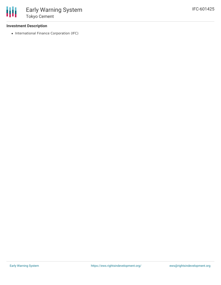## **Investment Description**

• International Finance Corporation (IFC)